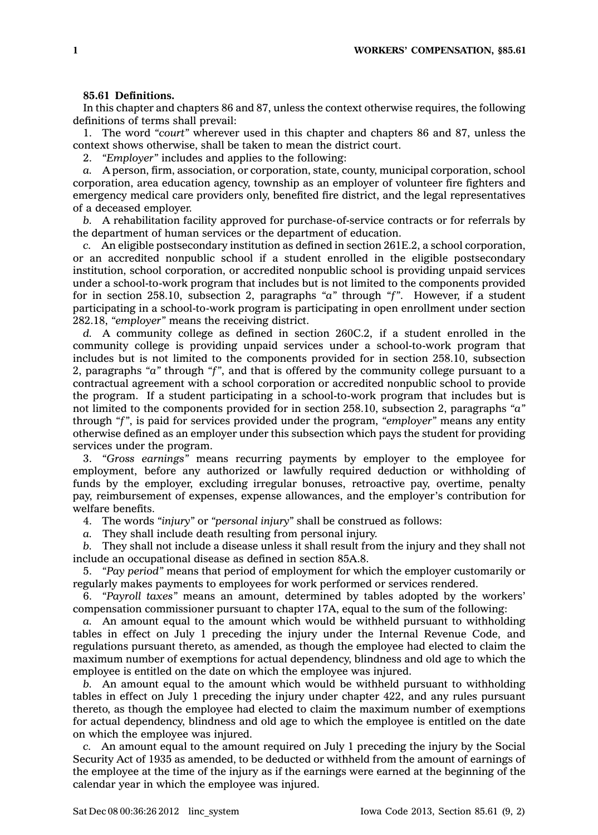## **85.61 Definitions.**

In this chapter and chapters 86 and 87, unless the context otherwise requires, the following definitions of terms shall prevail:

1. The word *"court"* wherever used in this chapter and chapters 86 and 87, unless the context shows otherwise, shall be taken to mean the district court.

2. *"Employer"* includes and applies to the following:

*a.* A person, firm, association, or corporation, state, county, municipal corporation, school corporation, area education agency, township as an employer of volunteer fire fighters and emergency medical care providers only, benefited fire district, and the legal representatives of <sup>a</sup> deceased employer.

*b.* A rehabilitation facility approved for purchase-of-service contracts or for referrals by the department of human services or the department of education.

*c.* An eligible postsecondary institution as defined in section 261E.2, <sup>a</sup> school corporation, or an accredited nonpublic school if <sup>a</sup> student enrolled in the eligible postsecondary institution, school corporation, or accredited nonpublic school is providing unpaid services under <sup>a</sup> school-to-work program that includes but is not limited to the components provided for in section 258.10, subsection 2, paragraphs *"a"* through *"f"*. However, if <sup>a</sup> student participating in <sup>a</sup> school-to-work program is participating in open enrollment under section 282.18, *"employer"* means the receiving district.

*d.* A community college as defined in section 260C.2, if <sup>a</sup> student enrolled in the community college is providing unpaid services under <sup>a</sup> school-to-work program that includes but is not limited to the components provided for in section 258.10, subsection 2, paragraphs *"a"* through *"f"*, and that is offered by the community college pursuant to <sup>a</sup> contractual agreement with <sup>a</sup> school corporation or accredited nonpublic school to provide the program. If <sup>a</sup> student participating in <sup>a</sup> school-to-work program that includes but is not limited to the components provided for in section 258.10, subsection 2, paragraphs *"a"* through *"f"*, is paid for services provided under the program, *"employer"* means any entity otherwise defined as an employer under this subsection which pays the student for providing services under the program.

3. *"Gross earnings"* means recurring payments by employer to the employee for employment, before any authorized or lawfully required deduction or withholding of funds by the employer, excluding irregular bonuses, retroactive pay, overtime, penalty pay, reimbursement of expenses, expense allowances, and the employer's contribution for welfare benefits.

4. The words *"injury"* or *"personal injury"* shall be construed as follows:

*a.* They shall include death resulting from personal injury.

*b.* They shall not include <sup>a</sup> disease unless it shall result from the injury and they shall not include an occupational disease as defined in section 85A.8.

5. *"Pay period"* means that period of employment for which the employer customarily or regularly makes payments to employees for work performed or services rendered.

6. *"Payroll taxes"* means an amount, determined by tables adopted by the workers' compensation commissioner pursuant to chapter 17A, equal to the sum of the following:

*a.* An amount equal to the amount which would be withheld pursuant to withholding tables in effect on July 1 preceding the injury under the Internal Revenue Code, and regulations pursuant thereto, as amended, as though the employee had elected to claim the maximum number of exemptions for actual dependency, blindness and old age to which the employee is entitled on the date on which the employee was injured.

*b.* An amount equal to the amount which would be withheld pursuant to withholding tables in effect on July 1 preceding the injury under chapter 422, and any rules pursuant thereto, as though the employee had elected to claim the maximum number of exemptions for actual dependency, blindness and old age to which the employee is entitled on the date on which the employee was injured.

*c.* An amount equal to the amount required on July 1 preceding the injury by the Social Security Act of 1935 as amended, to be deducted or withheld from the amount of earnings of the employee at the time of the injury as if the earnings were earned at the beginning of the calendar year in which the employee was injured.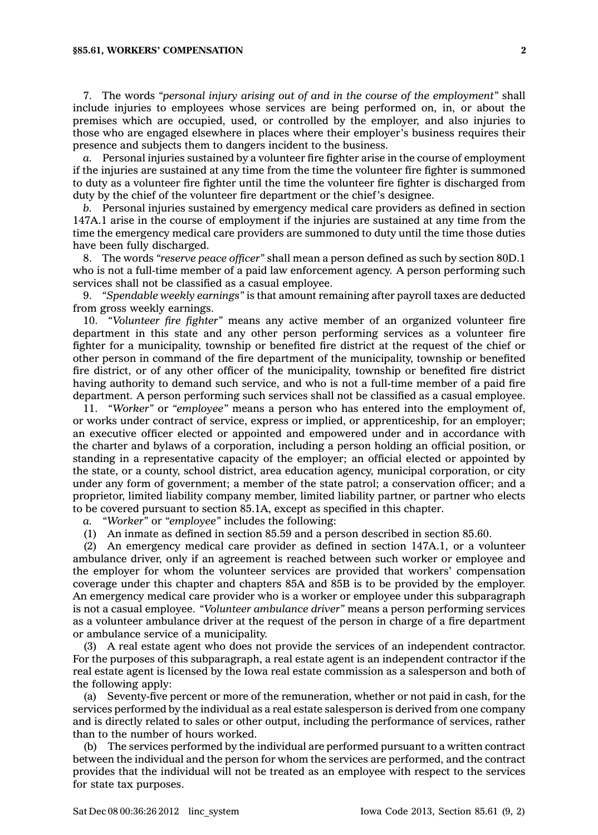## **§85.61, WORKERS' COMPENSATION 2**

7. The words *"personal injury arising out of and in the course of the employment"* shall include injuries to employees whose services are being performed on, in, or about the premises which are occupied, used, or controlled by the employer, and also injuries to those who are engaged elsewhere in places where their employer's business requires their presence and subjects them to dangers incident to the business.

*a.* Personal injuries sustained by <sup>a</sup> volunteer fire fighter arise in the course of employment if the injuries are sustained at any time from the time the volunteer fire fighter is summoned to duty as <sup>a</sup> volunteer fire fighter until the time the volunteer fire fighter is discharged from duty by the chief of the volunteer fire department or the chief's designee.

*b.* Personal injuries sustained by emergency medical care providers as defined in section 147A.1 arise in the course of employment if the injuries are sustained at any time from the time the emergency medical care providers are summoned to duty until the time those duties have been fully discharged.

8. The words *"reserve peace officer"* shall mean <sup>a</sup> person defined as such by section 80D.1 who is not <sup>a</sup> full-time member of <sup>a</sup> paid law enforcement agency. A person performing such services shall not be classified as <sup>a</sup> casual employee.

9. *"Spendable weekly earnings"* is that amount remaining after payroll taxes are deducted from gross weekly earnings.

10. *"Volunteer fire fighter"* means any active member of an organized volunteer fire department in this state and any other person performing services as <sup>a</sup> volunteer fire fighter for <sup>a</sup> municipality, township or benefited fire district at the request of the chief or other person in command of the fire department of the municipality, township or benefited fire district, or of any other officer of the municipality, township or benefited fire district having authority to demand such service, and who is not <sup>a</sup> full-time member of <sup>a</sup> paid fire department. A person performing such services shall not be classified as <sup>a</sup> casual employee.

11. *"Worker"* or *"employee"* means <sup>a</sup> person who has entered into the employment of, or works under contract of service, express or implied, or apprenticeship, for an employer; an executive officer elected or appointed and empowered under and in accordance with the charter and bylaws of <sup>a</sup> corporation, including <sup>a</sup> person holding an official position, or standing in <sup>a</sup> representative capacity of the employer; an official elected or appointed by the state, or <sup>a</sup> county, school district, area education agency, municipal corporation, or city under any form of government; <sup>a</sup> member of the state patrol; <sup>a</sup> conservation officer; and <sup>a</sup> proprietor, limited liability company member, limited liability partner, or partner who elects to be covered pursuant to section 85.1A, except as specified in this chapter.

*a. "Worker"* or *"employee"* includes the following:

(1) An inmate as defined in section 85.59 and <sup>a</sup> person described in section 85.60.

(2) An emergency medical care provider as defined in section 147A.1, or <sup>a</sup> volunteer ambulance driver, only if an agreement is reached between such worker or employee and the employer for whom the volunteer services are provided that workers' compensation coverage under this chapter and chapters 85A and 85B is to be provided by the employer. An emergency medical care provider who is <sup>a</sup> worker or employee under this subparagraph is not <sup>a</sup> casual employee. *"Volunteer ambulance driver"* means <sup>a</sup> person performing services as <sup>a</sup> volunteer ambulance driver at the request of the person in charge of <sup>a</sup> fire department or ambulance service of <sup>a</sup> municipality.

(3) A real estate agent who does not provide the services of an independent contractor. For the purposes of this subparagraph, <sup>a</sup> real estate agent is an independent contractor if the real estate agent is licensed by the Iowa real estate commission as <sup>a</sup> salesperson and both of the following apply:

(a) Seventy-five percent or more of the remuneration, whether or not paid in cash, for the services performed by the individual as <sup>a</sup> real estate salesperson is derived from one company and is directly related to sales or other output, including the performance of services, rather than to the number of hours worked.

(b) The services performed by the individual are performed pursuant to <sup>a</sup> written contract between the individual and the person for whom the services are performed, and the contract provides that the individual will not be treated as an employee with respect to the services for state tax purposes.